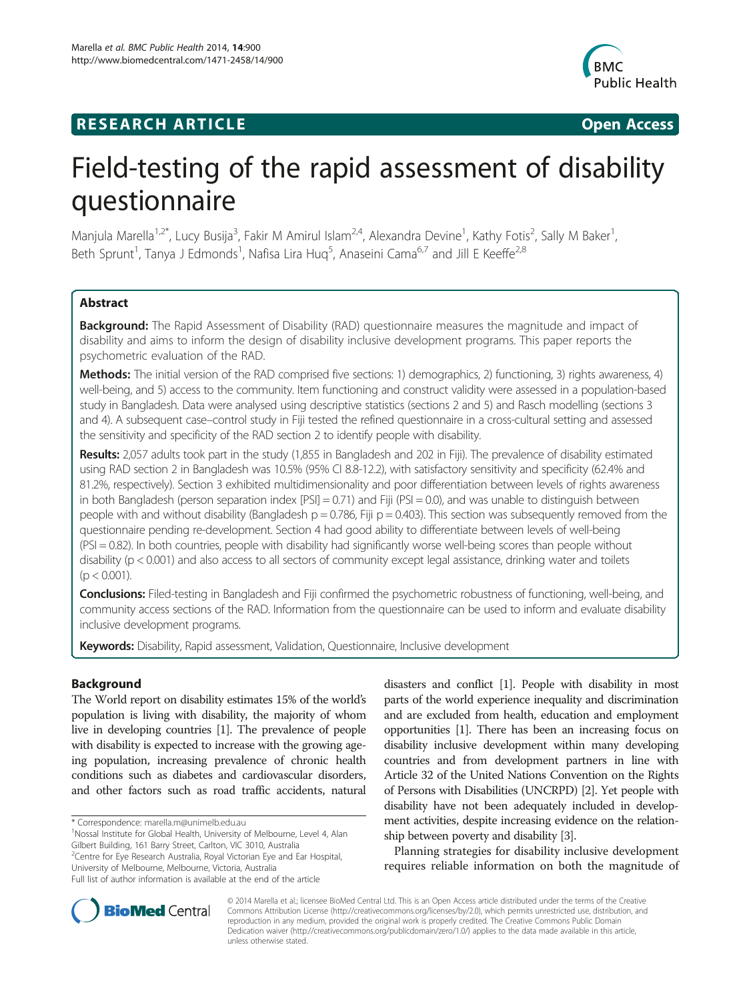## **RESEARCH ARTICLE Example 2018 12:00 Department of the CONNECTION CONNECTION CONNECTION CONNECTION**



# Field-testing of the rapid assessment of disability questionnaire

Manjula Marella<sup>1,2\*</sup>, Lucy Busija<sup>3</sup>, Fakir M Amirul Islam<sup>2,4</sup>, Alexandra Devine<sup>1</sup>, Kathy Fotis<sup>2</sup>, Sally M Baker<sup>1</sup> , Beth Sprunt<sup>1</sup>, Tanya J Edmonds<sup>1</sup>, Nafisa Lira Huq<sup>5</sup>, Anaseini Cama<sup>6,7</sup> and Jill E Keeffe<sup>2,8</sup>

## **Abstract**

Background: The Rapid Assessment of Disability (RAD) questionnaire measures the magnitude and impact of disability and aims to inform the design of disability inclusive development programs. This paper reports the psychometric evaluation of the RAD.

Methods: The initial version of the RAD comprised five sections: 1) demographics, 2) functioning, 3) rights awareness, 4) well-being, and 5) access to the community. Item functioning and construct validity were assessed in a population-based study in Bangladesh. Data were analysed using descriptive statistics (sections 2 and 5) and Rasch modelling (sections 3 and 4). A subsequent case–control study in Fiji tested the refined questionnaire in a cross-cultural setting and assessed the sensitivity and specificity of the RAD section 2 to identify people with disability.

Results: 2,057 adults took part in the study (1,855 in Bangladesh and 202 in Fiji). The prevalence of disability estimated using RAD section 2 in Bangladesh was 10.5% (95% CI 8.8-12.2), with satisfactory sensitivity and specificity (62.4% and 81.2%, respectively). Section 3 exhibited multidimensionality and poor differentiation between levels of rights awareness in both Bangladesh (person separation index  $[PSI] = 0.71$ ) and Fiji (PSI = 0.0), and was unable to distinguish between people with and without disability (Bangladesh  $p = 0.786$ , Fiji  $p = 0.403$ ). This section was subsequently removed from the questionnaire pending re-development. Section 4 had good ability to differentiate between levels of well-being (PSI = 0.82). In both countries, people with disability had significantly worse well-being scores than people without disability (p < 0.001) and also access to all sectors of community except legal assistance, drinking water and toilets  $(p < 0.001)$ .

Conclusions: Filed-testing in Bangladesh and Fiji confirmed the psychometric robustness of functioning, well-being, and community access sections of the RAD. Information from the questionnaire can be used to inform and evaluate disability inclusive development programs.

Keywords: Disability, Rapid assessment, Validation, Questionnaire, Inclusive development

## **Background**

The World report on disability estimates 15% of the world's population is living with disability, the majority of whom live in developing countries [[1](#page-11-0)]. The prevalence of people with disability is expected to increase with the growing ageing population, increasing prevalence of chronic health conditions such as diabetes and cardiovascular disorders, and other factors such as road traffic accidents, natural

<sup>1</sup> Nossal Institute for Global Health, University of Melbourne, Level 4, Alan Gilbert Building, 161 Barry Street, Carlton, VIC 3010, Australia <sup>2</sup> Centre for Eye Research Australia, Royal Victorian Eye and Ear Hospital,

University of Melbourne, Melbourne, Victoria, Australia

disasters and conflict [\[1\]](#page-11-0). People with disability in most parts of the world experience inequality and discrimination and are excluded from health, education and employment opportunities [\[1\]](#page-11-0). There has been an increasing focus on disability inclusive development within many developing countries and from development partners in line with Article 32 of the United Nations Convention on the Rights of Persons with Disabilities (UNCRPD) [\[2\]](#page-11-0). Yet people with disability have not been adequately included in development activities, despite increasing evidence on the relationship between poverty and disability [\[3](#page-11-0)].

Planning strategies for disability inclusive development requires reliable information on both the magnitude of



© 2014 Marella et al.; licensee BioMed Central Ltd. This is an Open Access article distributed under the terms of the Creative Commons Attribution License [\(http://creativecommons.org/licenses/by/2.0\)](http://creativecommons.org/licenses/by/2.0), which permits unrestricted use, distribution, and reproduction in any medium, provided the original work is properly credited. The Creative Commons Public Domain Dedication waiver [\(http://creativecommons.org/publicdomain/zero/1.0/](http://creativecommons.org/publicdomain/zero/1.0/)) applies to the data made available in this article, unless otherwise stated.

<sup>\*</sup> Correspondence: [marella.m@unimelb.edu.au](mailto:marella.m@unimelb.edu.au) <sup>1</sup>

Full list of author information is available at the end of the article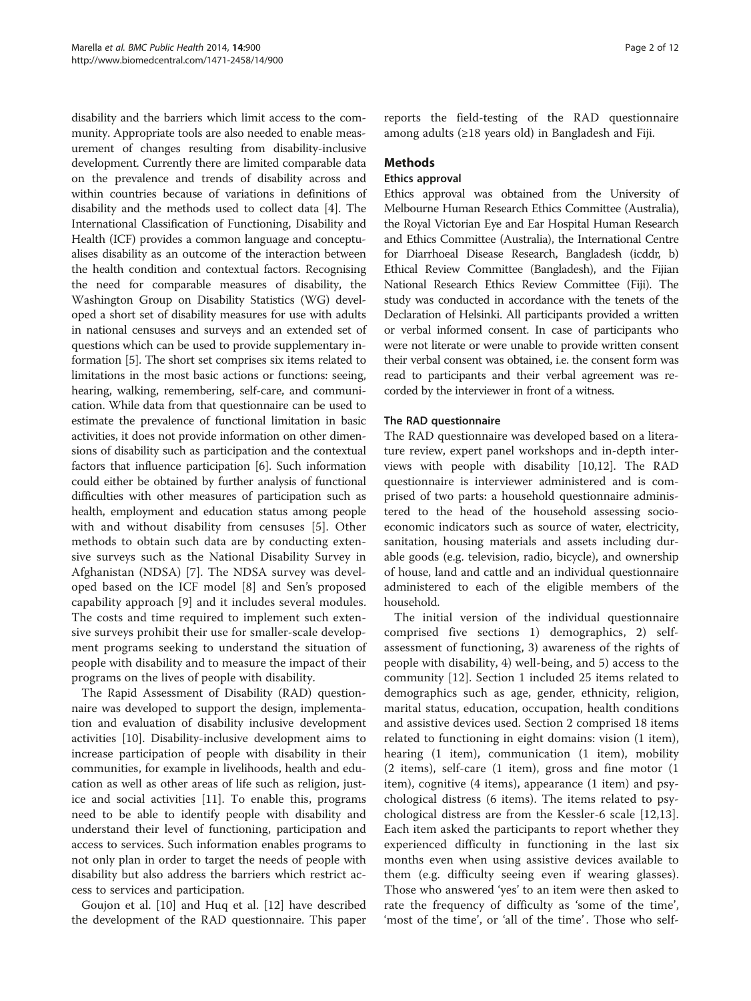disability and the barriers which limit access to the community. Appropriate tools are also needed to enable measurement of changes resulting from disability-inclusive development. Currently there are limited comparable data on the prevalence and trends of disability across and within countries because of variations in definitions of disability and the methods used to collect data [\[4](#page-11-0)]. The International Classification of Functioning, Disability and Health (ICF) provides a common language and conceptualises disability as an outcome of the interaction between the health condition and contextual factors. Recognising the need for comparable measures of disability, the Washington Group on Disability Statistics (WG) developed a short set of disability measures for use with adults in national censuses and surveys and an extended set of questions which can be used to provide supplementary information [\[5](#page-11-0)]. The short set comprises six items related to limitations in the most basic actions or functions: seeing, hearing, walking, remembering, self-care, and communication. While data from that questionnaire can be used to estimate the prevalence of functional limitation in basic activities, it does not provide information on other dimensions of disability such as participation and the contextual factors that influence participation [\[6](#page-11-0)]. Such information could either be obtained by further analysis of functional difficulties with other measures of participation such as health, employment and education status among people with and without disability from censuses [\[5](#page-11-0)]. Other methods to obtain such data are by conducting extensive surveys such as the National Disability Survey in Afghanistan (NDSA) [[7\]](#page-11-0). The NDSA survey was developed based on the ICF model [[8](#page-11-0)] and Sen's proposed capability approach [[9\]](#page-11-0) and it includes several modules. The costs and time required to implement such extensive surveys prohibit their use for smaller-scale development programs seeking to understand the situation of people with disability and to measure the impact of their programs on the lives of people with disability.

The Rapid Assessment of Disability (RAD) questionnaire was developed to support the design, implementation and evaluation of disability inclusive development activities [[10\]](#page-11-0). Disability-inclusive development aims to increase participation of people with disability in their communities, for example in livelihoods, health and education as well as other areas of life such as religion, justice and social activities [\[11\]](#page-11-0). To enable this, programs need to be able to identify people with disability and understand their level of functioning, participation and access to services. Such information enables programs to not only plan in order to target the needs of people with disability but also address the barriers which restrict access to services and participation.

Goujon et al. [[10\]](#page-11-0) and Huq et al. [\[12](#page-11-0)] have described the development of the RAD questionnaire. This paper reports the field-testing of the RAD questionnaire among adults (≥18 years old) in Bangladesh and Fiji.

## Methods

## Ethics approval

Ethics approval was obtained from the University of Melbourne Human Research Ethics Committee (Australia), the Royal Victorian Eye and Ear Hospital Human Research and Ethics Committee (Australia), the International Centre for Diarrhoeal Disease Research, Bangladesh (icddr, b) Ethical Review Committee (Bangladesh), and the Fijian National Research Ethics Review Committee (Fiji). The study was conducted in accordance with the tenets of the Declaration of Helsinki. All participants provided a written or verbal informed consent. In case of participants who were not literate or were unable to provide written consent their verbal consent was obtained, i.e. the consent form was read to participants and their verbal agreement was recorded by the interviewer in front of a witness.

## The RAD questionnaire

The RAD questionnaire was developed based on a literature review, expert panel workshops and in-depth interviews with people with disability [[10,12\]](#page-11-0). The RAD questionnaire is interviewer administered and is comprised of two parts: a household questionnaire administered to the head of the household assessing socioeconomic indicators such as source of water, electricity, sanitation, housing materials and assets including durable goods (e.g. television, radio, bicycle), and ownership of house, land and cattle and an individual questionnaire administered to each of the eligible members of the household.

The initial version of the individual questionnaire comprised five sections 1) demographics, 2) selfassessment of functioning, 3) awareness of the rights of people with disability, 4) well-being, and 5) access to the community [[12\]](#page-11-0). Section 1 included 25 items related to demographics such as age, gender, ethnicity, religion, marital status, education, occupation, health conditions and assistive devices used. Section 2 comprised 18 items related to functioning in eight domains: vision (1 item), hearing (1 item), communication (1 item), mobility (2 items), self-care (1 item), gross and fine motor (1 item), cognitive (4 items), appearance (1 item) and psychological distress (6 items). The items related to psychological distress are from the Kessler-6 scale [[12,13](#page-11-0)]. Each item asked the participants to report whether they experienced difficulty in functioning in the last six months even when using assistive devices available to them (e.g. difficulty seeing even if wearing glasses). Those who answered 'yes' to an item were then asked to rate the frequency of difficulty as 'some of the time', 'most of the time', or 'all of the time'. Those who self-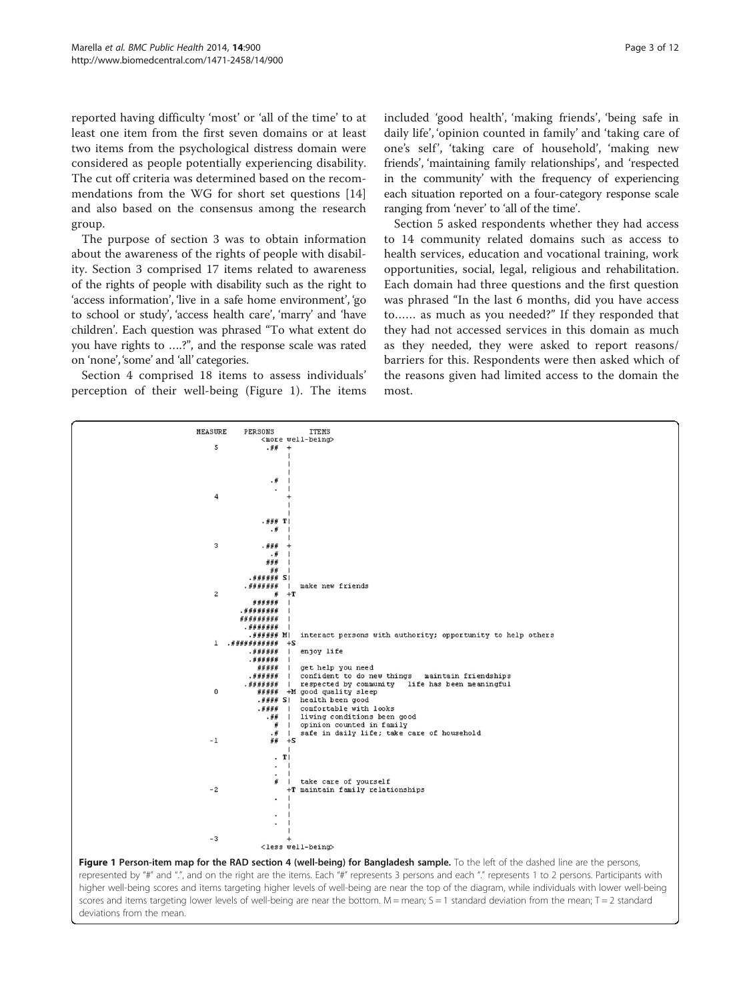<span id="page-2-0"></span>reported having difficulty 'most' or 'all of the time' to at least one item from the first seven domains or at least two items from the psychological distress domain were considered as people potentially experiencing disability. The cut off criteria was determined based on the recommendations from the WG for short set questions [\[14](#page-11-0)] and also based on the consensus among the research group.

The purpose of section 3 was to obtain information about the awareness of the rights of people with disability. Section 3 comprised 17 items related to awareness of the rights of people with disability such as the right to 'access information', 'live in a safe home environment', 'go to school or study', 'access health care', 'marry' and 'have children'. Each question was phrased "To what extent do you have rights to ….?", and the response scale was rated on 'none', 'some' and 'all' categories.

Section 4 comprised 18 items to assess individuals' perception of their well-being (Figure 1). The items included 'good health', 'making friends', 'being safe in daily life', 'opinion counted in family' and 'taking care of one's self', 'taking care of household', 'making new friends', 'maintaining family relationships', and 'respected in the community' with the frequency of experiencing each situation reported on a four-category response scale ranging from 'never' to 'all of the time'.

Section 5 asked respondents whether they had access to 14 community related domains such as access to health services, education and vocational training, work opportunities, social, legal, religious and rehabilitation. Each domain had three questions and the first question was phrased "In the last 6 months, did you have access to…… as much as you needed?" If they responded that they had not accessed services in this domain as much as they needed, they were asked to report reasons/ barriers for this. Respondents were then asked which of the reasons given had limited access to the domain the most.



higher well-being scores and items targeting higher levels of well-being are near the top of the diagram, while individuals with lower well-being scores and items targeting lower levels of well-being are near the bottom. M = mean; S = 1 standard deviation from the mean; T = 2 standard deviations from the mean.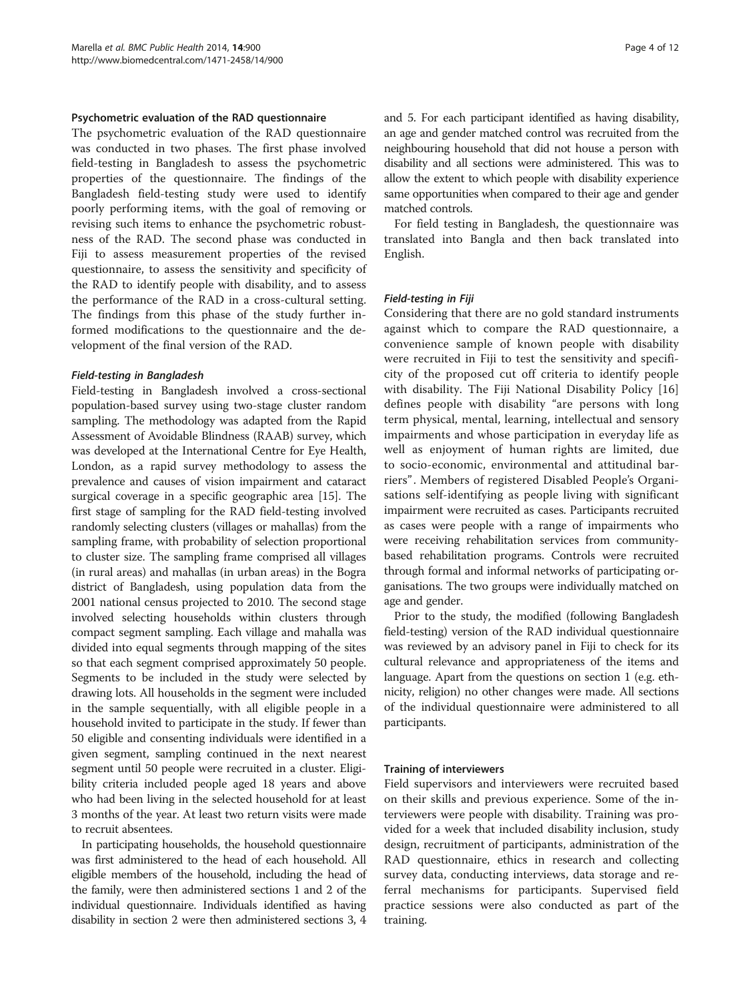#### Psychometric evaluation of the RAD questionnaire

The psychometric evaluation of the RAD questionnaire was conducted in two phases. The first phase involved field-testing in Bangladesh to assess the psychometric properties of the questionnaire. The findings of the Bangladesh field-testing study were used to identify poorly performing items, with the goal of removing or revising such items to enhance the psychometric robustness of the RAD. The second phase was conducted in Fiji to assess measurement properties of the revised questionnaire, to assess the sensitivity and specificity of the RAD to identify people with disability, and to assess the performance of the RAD in a cross-cultural setting. The findings from this phase of the study further informed modifications to the questionnaire and the development of the final version of the RAD.

#### Field-testing in Bangladesh

Field-testing in Bangladesh involved a cross-sectional population-based survey using two-stage cluster random sampling. The methodology was adapted from the Rapid Assessment of Avoidable Blindness (RAAB) survey, which was developed at the International Centre for Eye Health, London, as a rapid survey methodology to assess the prevalence and causes of vision impairment and cataract surgical coverage in a specific geographic area [[15](#page-11-0)]. The first stage of sampling for the RAD field-testing involved randomly selecting clusters (villages or mahallas) from the sampling frame, with probability of selection proportional to cluster size. The sampling frame comprised all villages (in rural areas) and mahallas (in urban areas) in the Bogra district of Bangladesh, using population data from the 2001 national census projected to 2010. The second stage involved selecting households within clusters through compact segment sampling. Each village and mahalla was divided into equal segments through mapping of the sites so that each segment comprised approximately 50 people. Segments to be included in the study were selected by drawing lots. All households in the segment were included in the sample sequentially, with all eligible people in a household invited to participate in the study. If fewer than 50 eligible and consenting individuals were identified in a given segment, sampling continued in the next nearest segment until 50 people were recruited in a cluster. Eligibility criteria included people aged 18 years and above who had been living in the selected household for at least 3 months of the year. At least two return visits were made to recruit absentees.

In participating households, the household questionnaire was first administered to the head of each household. All eligible members of the household, including the head of the family, were then administered sections 1 and 2 of the individual questionnaire. Individuals identified as having disability in section 2 were then administered sections 3, 4 and 5. For each participant identified as having disability, an age and gender matched control was recruited from the neighbouring household that did not house a person with disability and all sections were administered. This was to allow the extent to which people with disability experience same opportunities when compared to their age and gender matched controls.

For field testing in Bangladesh, the questionnaire was translated into Bangla and then back translated into English.

#### Field-testing in Fiji

Considering that there are no gold standard instruments against which to compare the RAD questionnaire, a convenience sample of known people with disability were recruited in Fiji to test the sensitivity and specificity of the proposed cut off criteria to identify people with disability. The Fiji National Disability Policy [\[16](#page-11-0)] defines people with disability "are persons with long term physical, mental, learning, intellectual and sensory impairments and whose participation in everyday life as well as enjoyment of human rights are limited, due to socio-economic, environmental and attitudinal barriers". Members of registered Disabled People's Organisations self-identifying as people living with significant impairment were recruited as cases. Participants recruited as cases were people with a range of impairments who were receiving rehabilitation services from communitybased rehabilitation programs. Controls were recruited through formal and informal networks of participating organisations. The two groups were individually matched on age and gender.

Prior to the study, the modified (following Bangladesh field-testing) version of the RAD individual questionnaire was reviewed by an advisory panel in Fiji to check for its cultural relevance and appropriateness of the items and language. Apart from the questions on section 1 (e.g. ethnicity, religion) no other changes were made. All sections of the individual questionnaire were administered to all participants.

#### Training of interviewers

Field supervisors and interviewers were recruited based on their skills and previous experience. Some of the interviewers were people with disability. Training was provided for a week that included disability inclusion, study design, recruitment of participants, administration of the RAD questionnaire, ethics in research and collecting survey data, conducting interviews, data storage and referral mechanisms for participants. Supervised field practice sessions were also conducted as part of the training.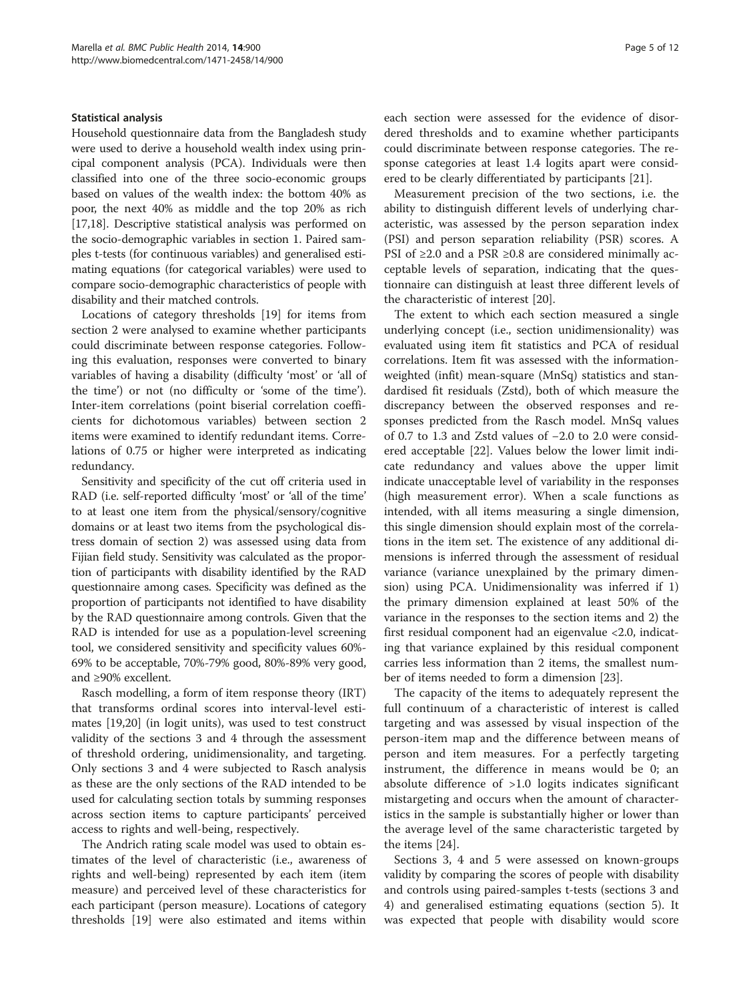#### Statistical analysis

Household questionnaire data from the Bangladesh study were used to derive a household wealth index using principal component analysis (PCA). Individuals were then classified into one of the three socio-economic groups based on values of the wealth index: the bottom 40% as poor, the next 40% as middle and the top 20% as rich [[17,18](#page-11-0)]. Descriptive statistical analysis was performed on the socio-demographic variables in section 1. Paired samples t-tests (for continuous variables) and generalised estimating equations (for categorical variables) were used to compare socio-demographic characteristics of people with disability and their matched controls.

Locations of category thresholds [\[19\]](#page-11-0) for items from section 2 were analysed to examine whether participants could discriminate between response categories. Following this evaluation, responses were converted to binary variables of having a disability (difficulty 'most' or 'all of the time') or not (no difficulty or 'some of the time'). Inter-item correlations (point biserial correlation coefficients for dichotomous variables) between section 2 items were examined to identify redundant items. Correlations of 0.75 or higher were interpreted as indicating redundancy.

Sensitivity and specificity of the cut off criteria used in RAD (i.e. self-reported difficulty 'most' or 'all of the time' to at least one item from the physical/sensory/cognitive domains or at least two items from the psychological distress domain of section 2) was assessed using data from Fijian field study. Sensitivity was calculated as the proportion of participants with disability identified by the RAD questionnaire among cases. Specificity was defined as the proportion of participants not identified to have disability by the RAD questionnaire among controls. Given that the RAD is intended for use as a population-level screening tool, we considered sensitivity and specificity values 60%- 69% to be acceptable, 70%-79% good, 80%-89% very good, and ≥90% excellent.

Rasch modelling, a form of item response theory (IRT) that transforms ordinal scores into interval-level estimates [\[19,20](#page-11-0)] (in logit units), was used to test construct validity of the sections 3 and 4 through the assessment of threshold ordering, unidimensionality, and targeting. Only sections 3 and 4 were subjected to Rasch analysis as these are the only sections of the RAD intended to be used for calculating section totals by summing responses across section items to capture participants' perceived access to rights and well-being, respectively.

The Andrich rating scale model was used to obtain estimates of the level of characteristic (i.e., awareness of rights and well-being) represented by each item (item measure) and perceived level of these characteristics for each participant (person measure). Locations of category thresholds [[19](#page-11-0)] were also estimated and items within

each section were assessed for the evidence of disordered thresholds and to examine whether participants could discriminate between response categories. The response categories at least 1.4 logits apart were considered to be clearly differentiated by participants [\[21](#page-11-0)].

Measurement precision of the two sections, i.e. the ability to distinguish different levels of underlying characteristic, was assessed by the person separation index (PSI) and person separation reliability (PSR) scores. A PSI of ≥2.0 and a PSR ≥0.8 are considered minimally acceptable levels of separation, indicating that the questionnaire can distinguish at least three different levels of the characteristic of interest [\[20](#page-11-0)].

The extent to which each section measured a single underlying concept (i.e., section unidimensionality) was evaluated using item fit statistics and PCA of residual correlations. Item fit was assessed with the informationweighted (infit) mean-square (MnSq) statistics and standardised fit residuals (Zstd), both of which measure the discrepancy between the observed responses and responses predicted from the Rasch model. MnSq values of 0.7 to 1.3 and Zstd values of −2.0 to 2.0 were considered acceptable [[22\]](#page-11-0). Values below the lower limit indicate redundancy and values above the upper limit indicate unacceptable level of variability in the responses (high measurement error). When a scale functions as intended, with all items measuring a single dimension, this single dimension should explain most of the correlations in the item set. The existence of any additional dimensions is inferred through the assessment of residual variance (variance unexplained by the primary dimension) using PCA. Unidimensionality was inferred if 1) the primary dimension explained at least 50% of the variance in the responses to the section items and 2) the first residual component had an eigenvalue <2.0, indicating that variance explained by this residual component carries less information than 2 items, the smallest number of items needed to form a dimension [[23\]](#page-11-0).

The capacity of the items to adequately represent the full continuum of a characteristic of interest is called targeting and was assessed by visual inspection of the person-item map and the difference between means of person and item measures. For a perfectly targeting instrument, the difference in means would be 0; an absolute difference of >1.0 logits indicates significant mistargeting and occurs when the amount of characteristics in the sample is substantially higher or lower than the average level of the same characteristic targeted by the items [[24\]](#page-11-0).

Sections 3, 4 and 5 were assessed on known-groups validity by comparing the scores of people with disability and controls using paired-samples t-tests (sections 3 and 4) and generalised estimating equations (section 5). It was expected that people with disability would score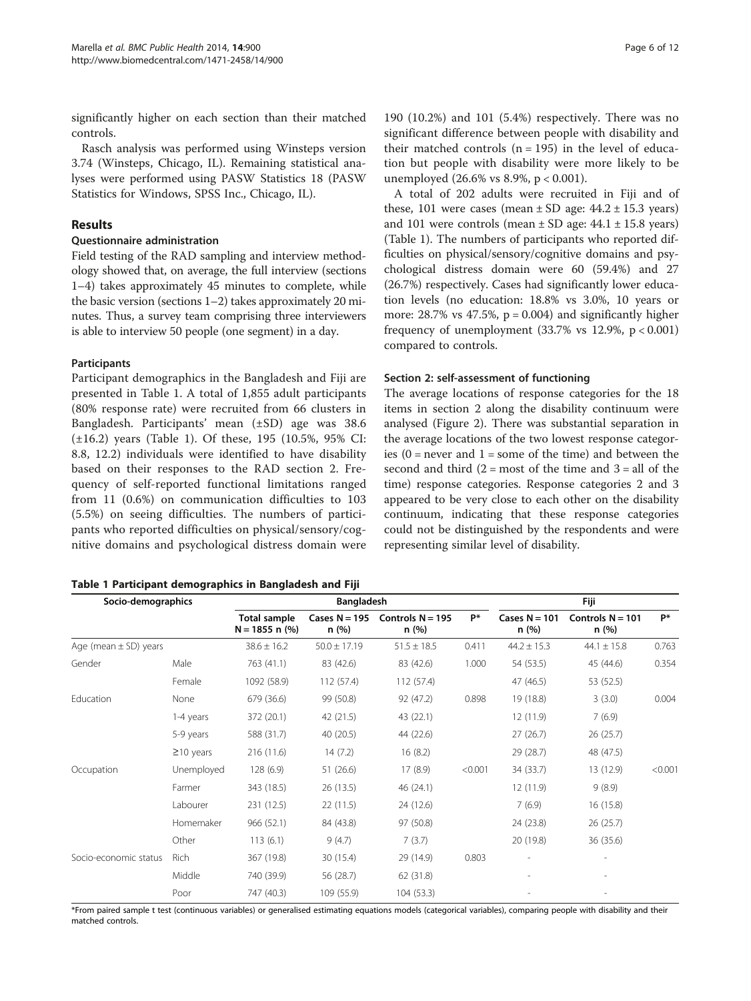significantly higher on each section than their matched controls.

Rasch analysis was performed using Winsteps version 3.74 (Winsteps, Chicago, IL). Remaining statistical analyses were performed using PASW Statistics 18 (PASW Statistics for Windows, SPSS Inc., Chicago, IL).

## Results

## Questionnaire administration

Field testing of the RAD sampling and interview methodology showed that, on average, the full interview (sections 1–4) takes approximately 45 minutes to complete, while the basic version (sections 1–2) takes approximately 20 minutes. Thus, a survey team comprising three interviewers is able to interview 50 people (one segment) in a day.

## Participants

Participant demographics in the Bangladesh and Fiji are presented in Table 1. A total of 1,855 adult participants (80% response rate) were recruited from 66 clusters in Bangladesh. Participants' mean (±SD) age was 38.6 (±16.2) years (Table 1). Of these, 195 (10.5%, 95% CI: 8.8, 12.2) individuals were identified to have disability based on their responses to the RAD section 2. Frequency of self-reported functional limitations ranged from 11 (0.6%) on communication difficulties to 103 (5.5%) on seeing difficulties. The numbers of participants who reported difficulties on physical/sensory/cognitive domains and psychological distress domain were

|  | Table 1 Participant demographics in Bangladesh and Fiji |  |
|--|---------------------------------------------------------|--|
|  |                                                         |  |

190 (10.2%) and 101 (5.4%) respectively. There was no significant difference between people with disability and their matched controls  $(n = 195)$  in the level of education but people with disability were more likely to be unemployed (26.6% vs 8.9%, p < 0.001).

A total of 202 adults were recruited in Fiji and of these, 101 were cases (mean  $\pm$  SD age: 44.2  $\pm$  15.3 years) and 101 were controls (mean  $\pm$  SD age: 44.1  $\pm$  15.8 years) (Table 1). The numbers of participants who reported difficulties on physical/sensory/cognitive domains and psychological distress domain were 60 (59.4%) and 27 (26.7%) respectively. Cases had significantly lower education levels (no education: 18.8% vs 3.0%, 10 years or more:  $28.7\%$  vs  $47.5\%$ ,  $p = 0.004$ ) and significantly higher frequency of unemployment  $(33.7\% \text{ vs } 12.9\%, \text{ p} < 0.001)$ compared to controls.

## Section 2: self-assessment of functioning

The average locations of response categories for the 18 items in section 2 along the disability continuum were analysed (Figure [2\)](#page-6-0). There was substantial separation in the average locations of the two lowest response categories  $(0 =$  never and  $1 =$  some of the time) and between the second and third  $(2 = most of the time and 3 = all of the)$ time) response categories. Response categories 2 and 3 appeared to be very close to each other on the disability continuum, indicating that these response categories could not be distinguished by the respondents and were representing similar level of disability.

| Socio-demographics        |                 | <b>Bangladesh</b>                          |                         |                            |         | Fiji                     |                            |         |
|---------------------------|-----------------|--------------------------------------------|-------------------------|----------------------------|---------|--------------------------|----------------------------|---------|
|                           |                 | <b>Total sample</b><br>$N = 1855$ n $(\%)$ | Cases $N = 195$<br>n(%) | Controls $N = 195$<br>n(%) | P*      | Cases $N = 101$<br>n (%) | Controls $N = 101$<br>n(%) | P*      |
| Age (mean $\pm$ SD) years |                 | $38.6 \pm 16.2$                            | $50.0 \pm 17.19$        | $51.5 \pm 18.5$            | 0.411   | $44.2 \pm 15.3$          | $44.1 \pm 15.8$            | 0.763   |
| Gender                    | Male            | 763 (41.1)                                 | 83 (42.6)               | 83 (42.6)                  | 1.000   | 54 (53.5)                | 45 (44.6)                  | 0.354   |
|                           | Female          | 1092 (58.9)                                | 112 (57.4)              | 112(57.4)                  |         | 47 (46.5)                | 53 (52.5)                  |         |
| Education                 | None            | 679 (36.6)                                 | 99 (50.8)               | 92 (47.2)                  | 0.898   | 19 (18.8)                | 3(3.0)                     | 0.004   |
|                           | 1-4 years       | 372 (20.1)                                 | 42 (21.5)               | 43 (22.1)                  |         | 12(11.9)                 | 7(6.9)                     |         |
|                           | 5-9 years       | 588 (31.7)                                 | 40 (20.5)               | 44 (22.6)                  |         | 27(26.7)                 | 26(25.7)                   |         |
|                           | $\geq$ 10 years | 216 (11.6)                                 | 14(7.2)                 | 16(8.2)                    |         | 29 (28.7)                | 48 (47.5)                  |         |
| Occupation                | Unemployed      | 128(6.9)                                   | 51(26.6)                | 17(8.9)                    | < 0.001 | 34 (33.7)                | 13 (12.9)                  | < 0.001 |
|                           | Farmer          | 343 (18.5)                                 | 26 (13.5)               | 46 (24.1)                  |         | 12 (11.9)                | 9(8.9)                     |         |
|                           | Labourer        | 231 (12.5)                                 | 22(11.5)                | 24 (12.6)                  |         | 7(6.9)                   | 16(15.8)                   |         |
|                           | Homemaker       | 966 (52.1)                                 | 84 (43.8)               | 97 (50.8)                  |         | 24 (23.8)                | 26(25.7)                   |         |
|                           | Other           | 113(6.1)                                   | 9(4.7)                  | 7(3.7)                     |         | 20 (19.8)                | 36 (35.6)                  |         |
| Socio-economic status     | Rich            | 367 (19.8)                                 | 30 (15.4)               | 29 (14.9)                  | 0.803   | $\overline{\phantom{a}}$ |                            |         |
|                           | Middle          | 740 (39.9)                                 | 56 (28.7)               | 62 (31.8)                  |         |                          |                            |         |
|                           | Poor            | 747 (40.3)                                 | 109 (55.9)              | 104 (53.3)                 |         |                          |                            |         |

\*From paired sample t test (continuous variables) or generalised estimating equations models (categorical variables), comparing people with disability and their matched controls.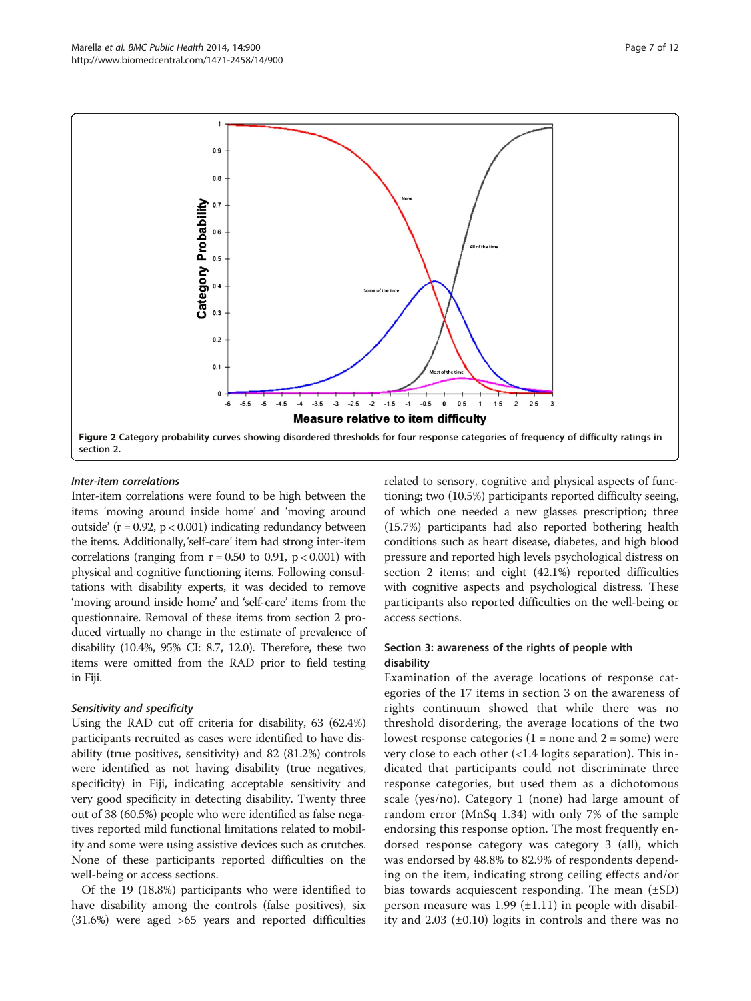<span id="page-6-0"></span>

## Inter-item correlations

Inter-item correlations were found to be high between the items 'moving around inside home' and 'moving around outside' ( $r = 0.92$ ,  $p < 0.001$ ) indicating redundancy between the items. Additionally, 'self-care' item had strong inter-item correlations (ranging from  $r = 0.50$  to 0.91,  $p < 0.001$ ) with physical and cognitive functioning items. Following consultations with disability experts, it was decided to remove 'moving around inside home' and 'self-care' items from the questionnaire. Removal of these items from section 2 produced virtually no change in the estimate of prevalence of disability (10.4%, 95% CI: 8.7, 12.0). Therefore, these two items were omitted from the RAD prior to field testing in Fiji.

## Sensitivity and specificity

Using the RAD cut off criteria for disability, 63 (62.4%) participants recruited as cases were identified to have disability (true positives, sensitivity) and 82 (81.2%) controls were identified as not having disability (true negatives, specificity) in Fiji, indicating acceptable sensitivity and very good specificity in detecting disability. Twenty three out of 38 (60.5%) people who were identified as false negatives reported mild functional limitations related to mobility and some were using assistive devices such as crutches. None of these participants reported difficulties on the well-being or access sections.

Of the 19 (18.8%) participants who were identified to have disability among the controls (false positives), six (31.6%) were aged >65 years and reported difficulties related to sensory, cognitive and physical aspects of functioning; two (10.5%) participants reported difficulty seeing, of which one needed a new glasses prescription; three (15.7%) participants had also reported bothering health conditions such as heart disease, diabetes, and high blood pressure and reported high levels psychological distress on section 2 items; and eight (42.1%) reported difficulties with cognitive aspects and psychological distress. These participants also reported difficulties on the well-being or access sections.

## Section 3: awareness of the rights of people with disability

Examination of the average locations of response categories of the 17 items in section 3 on the awareness of rights continuum showed that while there was no threshold disordering, the average locations of the two lowest response categories  $(1 = none$  and  $2 = some$ ) were very close to each other (<1.4 logits separation). This indicated that participants could not discriminate three response categories, but used them as a dichotomous scale (yes/no). Category 1 (none) had large amount of random error (MnSq 1.34) with only 7% of the sample endorsing this response option. The most frequently endorsed response category was category 3 (all), which was endorsed by 48.8% to 82.9% of respondents depending on the item, indicating strong ceiling effects and/or bias towards acquiescent responding. The mean (±SD) person measure was  $1.99 \left( \pm 1.11 \right)$  in people with disability and 2.03 (±0.10) logits in controls and there was no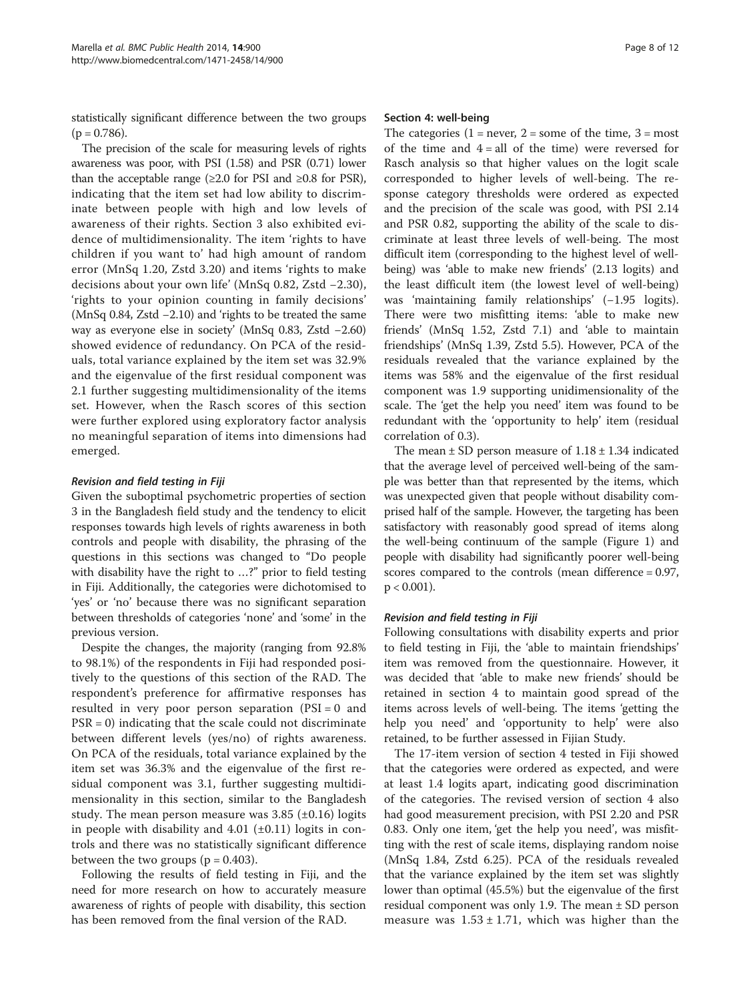statistically significant difference between the two groups  $(p = 0.786)$ .

The precision of the scale for measuring levels of rights awareness was poor, with PSI (1.58) and PSR (0.71) lower than the acceptable range  $(\geq 2.0$  for PSI and  $\geq 0.8$  for PSR), indicating that the item set had low ability to discriminate between people with high and low levels of awareness of their rights. Section 3 also exhibited evidence of multidimensionality. The item 'rights to have children if you want to' had high amount of random error (MnSq 1.20, Zstd 3.20) and items 'rights to make decisions about your own life' (MnSq 0.82, Zstd −2.30), 'rights to your opinion counting in family decisions' (MnSq 0.84, Zstd −2.10) and 'rights to be treated the same way as everyone else in society' (MnSq 0.83, Zstd −2.60) showed evidence of redundancy. On PCA of the residuals, total variance explained by the item set was 32.9% and the eigenvalue of the first residual component was 2.1 further suggesting multidimensionality of the items set. However, when the Rasch scores of this section were further explored using exploratory factor analysis no meaningful separation of items into dimensions had emerged.

## Revision and field testing in Fiji

Given the suboptimal psychometric properties of section 3 in the Bangladesh field study and the tendency to elicit responses towards high levels of rights awareness in both controls and people with disability, the phrasing of the questions in this sections was changed to "Do people with disability have the right to …?" prior to field testing in Fiji. Additionally, the categories were dichotomised to 'yes' or 'no' because there was no significant separation between thresholds of categories 'none' and 'some' in the previous version.

Despite the changes, the majority (ranging from 92.8% to 98.1%) of the respondents in Fiji had responded positively to the questions of this section of the RAD. The respondent's preference for affirmative responses has resulted in very poor person separation  $(PSI = 0$  and  $PSR = 0$ ) indicating that the scale could not discriminate between different levels (yes/no) of rights awareness. On PCA of the residuals, total variance explained by the item set was 36.3% and the eigenvalue of the first residual component was 3.1, further suggesting multidimensionality in this section, similar to the Bangladesh study. The mean person measure was  $3.85$  ( $\pm 0.16$ ) logits in people with disability and  $4.01$  ( $\pm 0.11$ ) logits in controls and there was no statistically significant difference between the two groups ( $p = 0.403$ ).

Following the results of field testing in Fiji, and the need for more research on how to accurately measure awareness of rights of people with disability, this section has been removed from the final version of the RAD.

## Section 4: well-being

The categories  $(1 = never, 2 = some of the time, 3 = most$ of the time and  $4 = all$  of the time) were reversed for Rasch analysis so that higher values on the logit scale corresponded to higher levels of well-being. The response category thresholds were ordered as expected and the precision of the scale was good, with PSI 2.14 and PSR 0.82, supporting the ability of the scale to discriminate at least three levels of well-being. The most difficult item (corresponding to the highest level of wellbeing) was 'able to make new friends' (2.13 logits) and the least difficult item (the lowest level of well-being) was 'maintaining family relationships' (−1.95 logits). There were two misfitting items: 'able to make new friends' (MnSq 1.52, Zstd 7.1) and 'able to maintain friendships' (MnSq 1.39, Zstd 5.5). However, PCA of the residuals revealed that the variance explained by the items was 58% and the eigenvalue of the first residual component was 1.9 supporting unidimensionality of the scale. The 'get the help you need' item was found to be redundant with the 'opportunity to help' item (residual correlation of 0.3).

The mean  $\pm$  SD person measure of  $1.18 \pm 1.34$  indicated that the average level of perceived well-being of the sample was better than that represented by the items, which was unexpected given that people without disability comprised half of the sample. However, the targeting has been satisfactory with reasonably good spread of items along the well-being continuum of the sample (Figure [1](#page-2-0)) and people with disability had significantly poorer well-being scores compared to the controls (mean difference = 0.97,  $p < 0.001$ ).

## Revision and field testing in Fiji

Following consultations with disability experts and prior to field testing in Fiji, the 'able to maintain friendships' item was removed from the questionnaire. However, it was decided that 'able to make new friends' should be retained in section 4 to maintain good spread of the items across levels of well-being. The items 'getting the help you need' and 'opportunity to help' were also retained, to be further assessed in Fijian Study.

The 17-item version of section 4 tested in Fiji showed that the categories were ordered as expected, and were at least 1.4 logits apart, indicating good discrimination of the categories. The revised version of section 4 also had good measurement precision, with PSI 2.20 and PSR 0.83. Only one item, 'get the help you need', was misfitting with the rest of scale items, displaying random noise (MnSq 1.84, Zstd 6.25). PCA of the residuals revealed that the variance explained by the item set was slightly lower than optimal (45.5%) but the eigenvalue of the first residual component was only 1.9. The mean  $\pm$  SD person measure was  $1.53 \pm 1.71$ , which was higher than the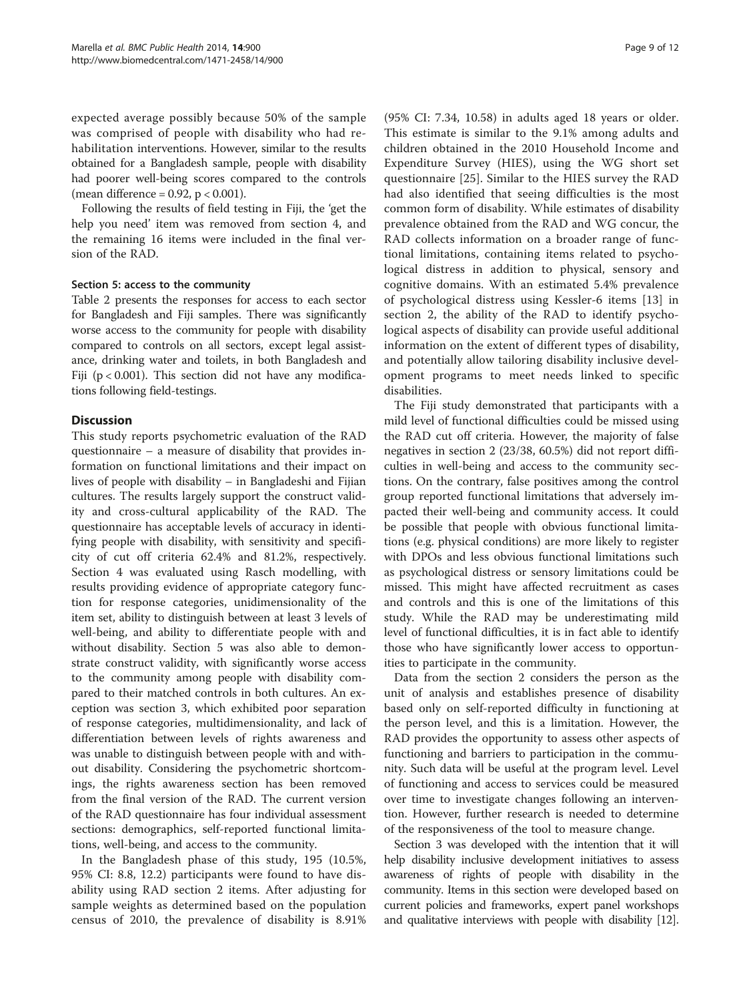expected average possibly because 50% of the sample was comprised of people with disability who had rehabilitation interventions. However, similar to the results obtained for a Bangladesh sample, people with disability had poorer well-being scores compared to the controls (mean difference =  $0.92$ ,  $p < 0.001$ ).

Following the results of field testing in Fiji, the 'get the help you need' item was removed from section 4, and the remaining 16 items were included in the final version of the RAD.

## Section 5: access to the community

Table [2](#page-9-0) presents the responses for access to each sector for Bangladesh and Fiji samples. There was significantly worse access to the community for people with disability compared to controls on all sectors, except legal assistance, drinking water and toilets, in both Bangladesh and Fiji ( $p < 0.001$ ). This section did not have any modifications following field-testings.

## **Discussion**

This study reports psychometric evaluation of the RAD questionnaire – a measure of disability that provides information on functional limitations and their impact on lives of people with disability – in Bangladeshi and Fijian cultures. The results largely support the construct validity and cross-cultural applicability of the RAD. The questionnaire has acceptable levels of accuracy in identifying people with disability, with sensitivity and specificity of cut off criteria 62.4% and 81.2%, respectively. Section 4 was evaluated using Rasch modelling, with results providing evidence of appropriate category function for response categories, unidimensionality of the item set, ability to distinguish between at least 3 levels of well-being, and ability to differentiate people with and without disability. Section 5 was also able to demonstrate construct validity, with significantly worse access to the community among people with disability compared to their matched controls in both cultures. An exception was section 3, which exhibited poor separation of response categories, multidimensionality, and lack of differentiation between levels of rights awareness and was unable to distinguish between people with and without disability. Considering the psychometric shortcomings, the rights awareness section has been removed from the final version of the RAD. The current version of the RAD questionnaire has four individual assessment sections: demographics, self-reported functional limitations, well-being, and access to the community.

In the Bangladesh phase of this study, 195 (10.5%, 95% CI: 8.8, 12.2) participants were found to have disability using RAD section 2 items. After adjusting for sample weights as determined based on the population census of 2010, the prevalence of disability is 8.91%

(95% CI: 7.34, 10.58) in adults aged 18 years or older. This estimate is similar to the 9.1% among adults and children obtained in the 2010 Household Income and Expenditure Survey (HIES), using the WG short set questionnaire [[25\]](#page-11-0). Similar to the HIES survey the RAD had also identified that seeing difficulties is the most common form of disability. While estimates of disability prevalence obtained from the RAD and WG concur, the RAD collects information on a broader range of functional limitations, containing items related to psychological distress in addition to physical, sensory and cognitive domains. With an estimated 5.4% prevalence of psychological distress using Kessler-6 items [[13\]](#page-11-0) in section 2, the ability of the RAD to identify psychological aspects of disability can provide useful additional information on the extent of different types of disability, and potentially allow tailoring disability inclusive development programs to meet needs linked to specific disabilities.

The Fiji study demonstrated that participants with a mild level of functional difficulties could be missed using the RAD cut off criteria. However, the majority of false negatives in section 2 (23/38, 60.5%) did not report difficulties in well-being and access to the community sections. On the contrary, false positives among the control group reported functional limitations that adversely impacted their well-being and community access. It could be possible that people with obvious functional limitations (e.g. physical conditions) are more likely to register with DPOs and less obvious functional limitations such as psychological distress or sensory limitations could be missed. This might have affected recruitment as cases and controls and this is one of the limitations of this study. While the RAD may be underestimating mild level of functional difficulties, it is in fact able to identify those who have significantly lower access to opportunities to participate in the community.

Data from the section 2 considers the person as the unit of analysis and establishes presence of disability based only on self-reported difficulty in functioning at the person level, and this is a limitation. However, the RAD provides the opportunity to assess other aspects of functioning and barriers to participation in the community. Such data will be useful at the program level. Level of functioning and access to services could be measured over time to investigate changes following an intervention. However, further research is needed to determine of the responsiveness of the tool to measure change.

Section 3 was developed with the intention that it will help disability inclusive development initiatives to assess awareness of rights of people with disability in the community. Items in this section were developed based on current policies and frameworks, expert panel workshops and qualitative interviews with people with disability [\[12](#page-11-0)].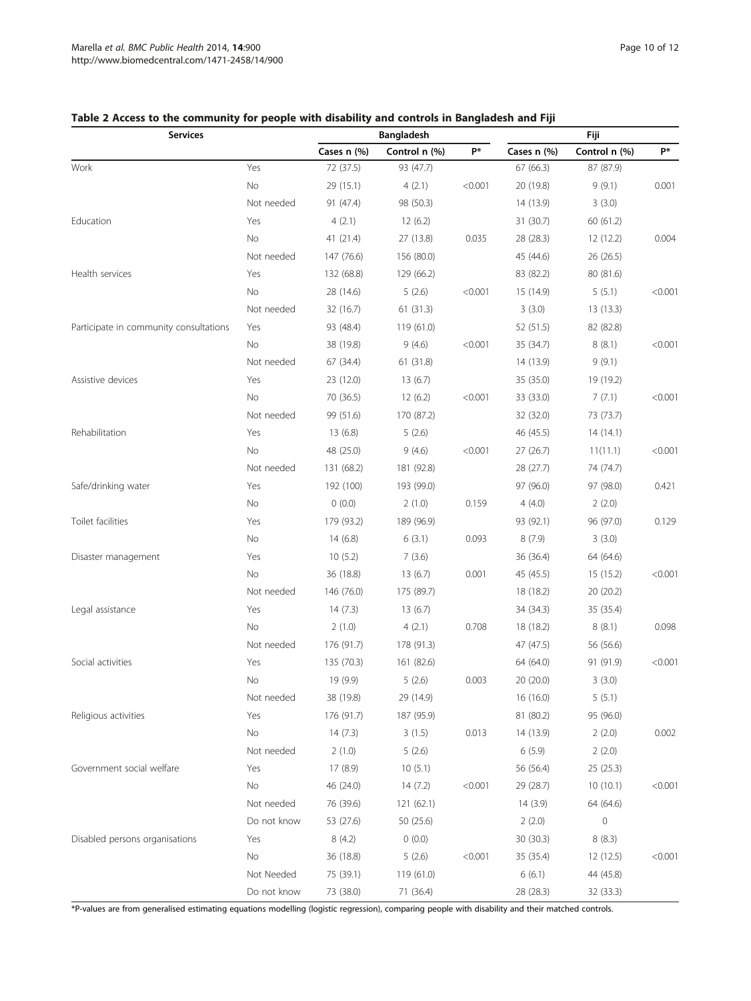## <span id="page-9-0"></span>Table 2 Access to the community for people with disability and controls in Bangladesh and Fiji

| <b>Services</b>                        |             |             | Bangladesh    |         |             | Fiji                |         |
|----------------------------------------|-------------|-------------|---------------|---------|-------------|---------------------|---------|
|                                        |             | Cases n (%) | Control n (%) | P*      | Cases n (%) | Control n (%)       | P*      |
| Work                                   | Yes         | 72 (37.5)   | 93 (47.7)     |         | 67(66.3)    | 87 (87.9)           |         |
|                                        | No          | 29 (15.1)   | 4(2.1)        | < 0.001 | 20 (19.8)   | 9(9.1)              | 0.001   |
|                                        | Not needed  | 91 (47.4)   | 98 (50.3)     |         | 14 (13.9)   | 3(3.0)              |         |
| Education                              | Yes         | 4(2.1)      | 12(6.2)       |         | 31 (30.7)   | 60 (61.2)           |         |
|                                        | No          | 41 (21.4)   | 27 (13.8)     | 0.035   | 28 (28.3)   | 12 (12.2)           | 0.004   |
|                                        | Not needed  | 147 (76.6)  | 156 (80.0)    |         | 45 (44.6)   | 26 (26.5)           |         |
| Health services                        | Yes         | 132 (68.8)  | 129 (66.2)    |         | 83 (82.2)   | 80 (81.6)           |         |
|                                        | No          | 28 (14.6)   | 5(2.6)        | < 0.001 | 15 (14.9)   | 5(5.1)              | < 0.001 |
|                                        | Not needed  | 32 (16.7)   | 61(31.3)      |         | 3(3.0)      | 13 (13.3)           |         |
| Participate in community consultations | Yes         | 93 (48.4)   | 119 (61.0)    |         | 52 (51.5)   | 82 (82.8)           |         |
|                                        | <b>No</b>   | 38 (19.8)   | 9(4.6)        | < 0.001 | 35 (34.7)   | 8(8.1)              | < 0.001 |
|                                        | Not needed  | 67 (34.4)   | 61 (31.8)     |         | 14 (13.9)   | 9(9.1)              |         |
| Assistive devices                      | Yes         | 23 (12.0)   | 13(6.7)       |         | 35 (35.0)   | 19 (19.2)           |         |
|                                        | No          | 70 (36.5)   | 12(6.2)       | < 0.001 | 33 (33.0)   | 7(7.1)              | < 0.001 |
|                                        | Not needed  | 99 (51.6)   | 170 (87.2)    |         | 32 (32.0)   | 73 (73.7)           |         |
| Rehabilitation                         | Yes         | 13(6.8)     | 5(2.6)        |         | 46 (45.5)   | 14(14.1)            |         |
|                                        | <b>No</b>   | 48 (25.0)   | 9(4.6)        | < 0.001 | 27(26.7)    | 11(11.1)            | < 0.001 |
|                                        | Not needed  | 131 (68.2)  | 181 (92.8)    |         | 28 (27.7)   | 74 (74.7)           |         |
| Safe/drinking water                    | Yes         | 192 (100)   | 193 (99.0)    |         | 97 (96.0)   | 97 (98.0)           | 0.421   |
|                                        | No          | 0(0.0)      | 2(1.0)        | 0.159   | 4(4.0)      | 2(2.0)              |         |
| Toilet facilities                      | Yes         | 179 (93.2)  | 189 (96.9)    |         | 93 (92.1)   | 96 (97.0)           | 0.129   |
|                                        | No          | 14(6.8)     | 6(3.1)        | 0.093   | 8(7.9)      | 3(3.0)              |         |
| Disaster management                    | Yes         | 10(5.2)     | 7(3.6)        |         | 36 (36.4)   | 64 (64.6)           |         |
|                                        | No          | 36 (18.8)   | 13(6.7)       | 0.001   | 45 (45.5)   | 15 (15.2)           | < 0.001 |
|                                        | Not needed  | 146 (76.0)  | 175 (89.7)    |         | 18 (18.2)   | 20 (20.2)           |         |
| Legal assistance                       | Yes         | 14(7.3)     | 13(6.7)       |         | 34 (34.3)   | 35 (35.4)           |         |
|                                        | No          | 2(1.0)      | 4(2.1)        | 0.708   | 18 (18.2)   | 8(8.1)              | 0.098   |
|                                        | Not needed  | 176 (91.7)  | 178 (91.3)    |         | 47 (47.5)   | 56 (56.6)           |         |
| Social activities                      | Yes         | 135 (70.3)  | 161 (82.6)    |         | 64 (64.0)   | 91 (91.9)           | < 0.001 |
|                                        | No          | 19 (9.9)    | 5(2.6)        | 0.003   | 20 (20.0)   | 3(3.0)              |         |
|                                        | Not needed  | 38 (19.8)   | 29 (14.9)     |         | 16 (16.0)   | 5(5.1)              |         |
| Religious activities                   | Yes         | 176 (91.7)  | 187 (95.9)    |         | 81 (80.2)   | 95 (96.0)           |         |
|                                        | No          | 14(7.3)     | 3(1.5)        | 0.013   | 14 (13.9)   | 2(2.0)              | 0.002   |
|                                        | Not needed  | 2(1.0)      | 5(2.6)        |         | 6(5.9)      | 2(2.0)              |         |
| Government social welfare              | Yes         | 17 (8.9)    | 10(5.1)       |         | 56 (56.4)   | 25 (25.3)           |         |
|                                        | No          | 46 (24.0)   | 14(7.2)       | < 0.001 | 29 (28.7)   | 10(10.1)            | < 0.001 |
|                                        | Not needed  | 76 (39.6)   | 121(62.1)     |         | 14(3.9)     | 64 (64.6)           |         |
|                                        | Do not know | 53 (27.6)   | 50 (25.6)     |         | 2(2.0)      | $\mathsf{O}\xspace$ |         |
| Disabled persons organisations         | Yes         | 8(4.2)      | 0(0.0)        |         | 30 (30.3)   | 8(8.3)              |         |
|                                        | No          | 36 (18.8)   | 5(2.6)        | < 0.001 | 35 (35.4)   | 12 (12.5)           | < 0.001 |
|                                        | Not Needed  | 75 (39.1)   | 119 (61.0)    |         | 6(6.1)      | 44 (45.8)           |         |
|                                        | Do not know | 73 (38.0)   | 71 (36.4)     |         | 28 (28.3)   | 32 (33.3)           |         |

\*P-values are from generalised estimating equations modelling (logistic regression), comparing people with disability and their matched controls.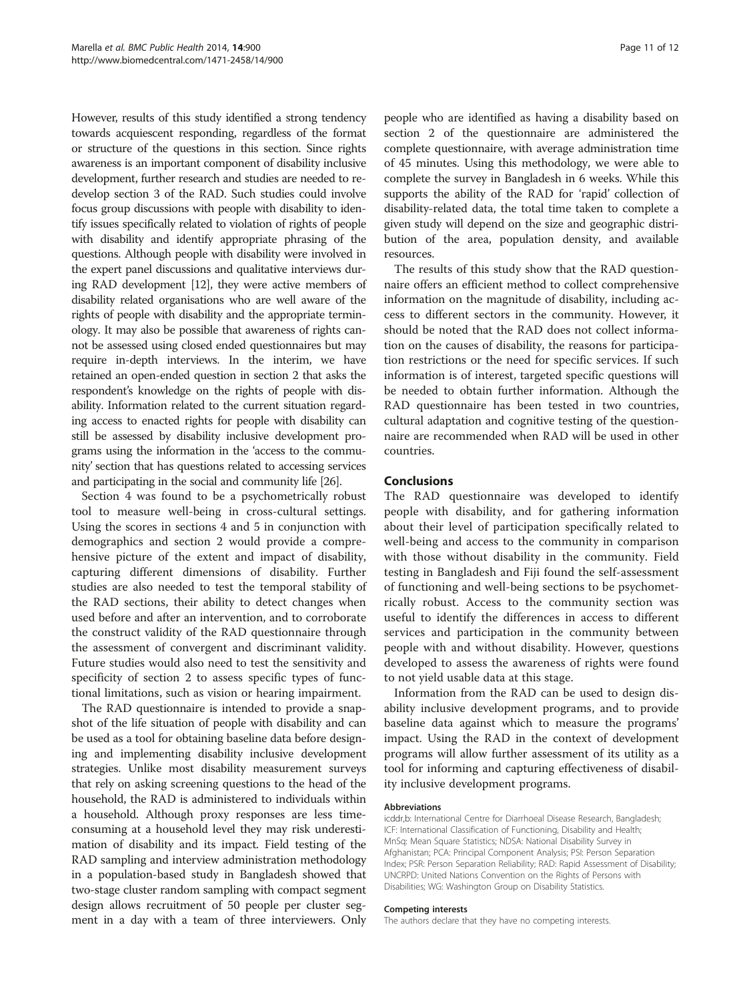However, results of this study identified a strong tendency towards acquiescent responding, regardless of the format or structure of the questions in this section. Since rights awareness is an important component of disability inclusive development, further research and studies are needed to redevelop section 3 of the RAD. Such studies could involve focus group discussions with people with disability to identify issues specifically related to violation of rights of people with disability and identify appropriate phrasing of the questions. Although people with disability were involved in the expert panel discussions and qualitative interviews during RAD development [\[12\]](#page-11-0), they were active members of disability related organisations who are well aware of the rights of people with disability and the appropriate terminology. It may also be possible that awareness of rights cannot be assessed using closed ended questionnaires but may require in-depth interviews. In the interim, we have retained an open-ended question in section 2 that asks the respondent's knowledge on the rights of people with disability. Information related to the current situation regarding access to enacted rights for people with disability can still be assessed by disability inclusive development programs using the information in the 'access to the community' section that has questions related to accessing services and participating in the social and community life [\[26](#page-11-0)].

Section 4 was found to be a psychometrically robust tool to measure well-being in cross-cultural settings. Using the scores in sections 4 and 5 in conjunction with demographics and section 2 would provide a comprehensive picture of the extent and impact of disability, capturing different dimensions of disability. Further studies are also needed to test the temporal stability of the RAD sections, their ability to detect changes when used before and after an intervention, and to corroborate the construct validity of the RAD questionnaire through the assessment of convergent and discriminant validity. Future studies would also need to test the sensitivity and specificity of section 2 to assess specific types of functional limitations, such as vision or hearing impairment.

The RAD questionnaire is intended to provide a snapshot of the life situation of people with disability and can be used as a tool for obtaining baseline data before designing and implementing disability inclusive development strategies. Unlike most disability measurement surveys that rely on asking screening questions to the head of the household, the RAD is administered to individuals within a household. Although proxy responses are less timeconsuming at a household level they may risk underestimation of disability and its impact. Field testing of the RAD sampling and interview administration methodology in a population-based study in Bangladesh showed that two-stage cluster random sampling with compact segment design allows recruitment of 50 people per cluster segment in a day with a team of three interviewers. Only

people who are identified as having a disability based on section 2 of the questionnaire are administered the complete questionnaire, with average administration time of 45 minutes. Using this methodology, we were able to complete the survey in Bangladesh in 6 weeks. While this supports the ability of the RAD for 'rapid' collection of disability-related data, the total time taken to complete a given study will depend on the size and geographic distribution of the area, population density, and available resources.

The results of this study show that the RAD questionnaire offers an efficient method to collect comprehensive information on the magnitude of disability, including access to different sectors in the community. However, it should be noted that the RAD does not collect information on the causes of disability, the reasons for participation restrictions or the need for specific services. If such information is of interest, targeted specific questions will be needed to obtain further information. Although the RAD questionnaire has been tested in two countries, cultural adaptation and cognitive testing of the questionnaire are recommended when RAD will be used in other countries.

## Conclusions

The RAD questionnaire was developed to identify people with disability, and for gathering information about their level of participation specifically related to well-being and access to the community in comparison with those without disability in the community. Field testing in Bangladesh and Fiji found the self-assessment of functioning and well-being sections to be psychometrically robust. Access to the community section was useful to identify the differences in access to different services and participation in the community between people with and without disability. However, questions developed to assess the awareness of rights were found to not yield usable data at this stage.

Information from the RAD can be used to design disability inclusive development programs, and to provide baseline data against which to measure the programs' impact. Using the RAD in the context of development programs will allow further assessment of its utility as a tool for informing and capturing effectiveness of disability inclusive development programs.

#### Abbreviations

icddr,b: International Centre for Diarrhoeal Disease Research, Bangladesh; ICF: International Classification of Functioning, Disability and Health; MnSq: Mean Square Statistics; NDSA: National Disability Survey in Afghanistan; PCA: Principal Component Analysis; PSI: Person Separation Index; PSR: Person Separation Reliability; RAD: Rapid Assessment of Disability; UNCRPD: United Nations Convention on the Rights of Persons with Disabilities; WG: Washington Group on Disability Statistics.

#### Competing interests

The authors declare that they have no competing interests.